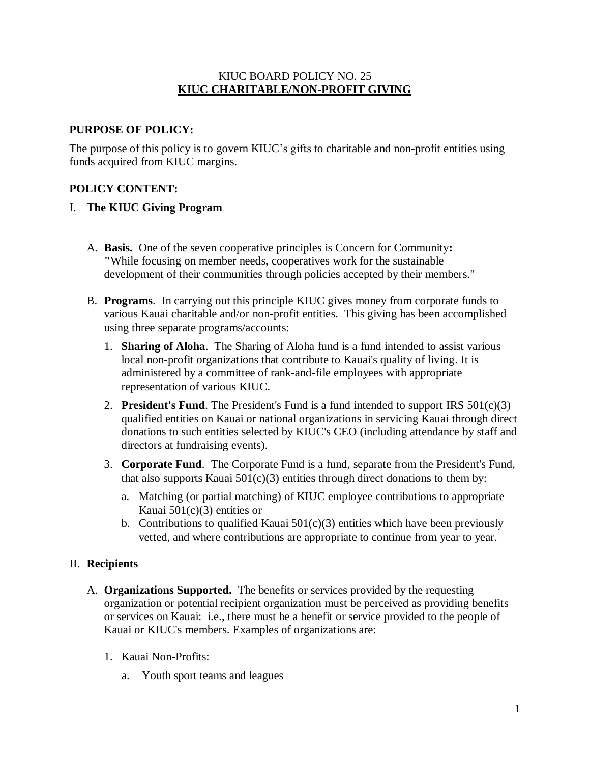#### KIUC BOARD POLICY NO. 25 **KIUC CHARITABLE/NON-PROFIT GIVING**

#### **PURPOSE OF POLICY:**

The purpose of this policy is to govern KIUC's gifts to charitable and non-profit entities using funds acquired from KIUC margins.

#### **POLICY CONTENT:**

#### I. **The KIUC Giving Program**

- A. **Basis.** One of the seven cooperative principles is Concern for Community**: "**While focusing on member needs, cooperatives work for the sustainable development of their communities through policies accepted by their members."
- B. **Programs**. In carrying out this principle KIUC gives money from corporate funds to various Kauai charitable and/or non-profit entities. This giving has been accomplished using three separate programs/accounts:
	- 1. **Sharing of Aloha**. The Sharing of Aloha fund is a fund intended to assist various local non-profit organizations that contribute to Kauai's quality of living. It is administered by a committee of rank-and-file employees with appropriate representation of various KIUC.
	- 2. **President's Fund**. The President's Fund is a fund intended to support IRS 501(c)(3) qualified entities on Kauai or national organizations in servicing Kauai through direct donations to such entities selected by KIUC's CEO (including attendance by staff and directors at fundraising events).
	- 3. **Corporate Fund**. The Corporate Fund is a fund, separate from the President's Fund, that also supports Kauai  $501(c)(3)$  entities through direct donations to them by:
		- a. Matching (or partial matching) of KIUC employee contributions to appropriate Kauai 501(c)(3) entities or
		- b. Contributions to qualified Kauai  $501(c)(3)$  entities which have been previously vetted, and where contributions are appropriate to continue from year to year.

#### II. **Recipients**

- A. **Organizations Supported.** The benefits or services provided by the requesting organization or potential recipient organization must be perceived as providing benefits or services on Kauai: i.e., there must be a benefit or service provided to the people of Kauai or KIUC's members. Examples of organizations are:
	- 1. Kauai Non-Profits:
		- a. Youth sport teams and leagues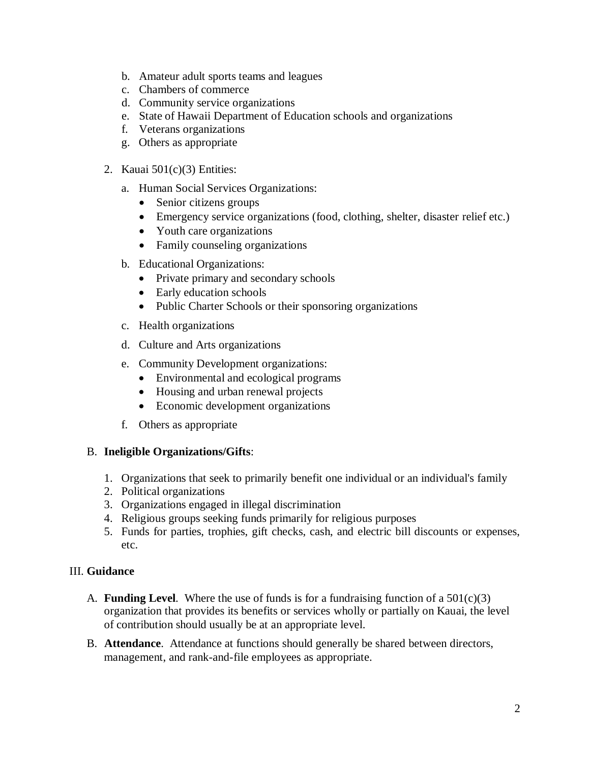- b. Amateur adult sports teams and leagues
- c. Chambers of commerce
- d. Community service organizations
- e. State of Hawaii Department of Education schools and organizations
- f. Veterans organizations
- g. Others as appropriate
- 2. Kauai  $501(c)(3)$  Entities:
	- a. Human Social Services Organizations:
		- Senior citizens groups
		- Emergency service organizations (food, clothing, shelter, disaster relief etc.)
		- Youth care organizations
		- Family counseling organizations
	- b. Educational Organizations:
		- Private primary and secondary schools
		- Early education schools
		- Public Charter Schools or their sponsoring organizations
	- c. Health organizations
	- d. Culture and Arts organizations
	- e. Community Development organizations:
		- Environmental and ecological programs
		- Housing and urban renewal projects
		- Economic development organizations
	- f. Others as appropriate

## B. **Ineligible Organizations/Gifts**:

- 1. Organizations that seek to primarily benefit one individual or an individual's family
- 2. Political organizations
- 3. Organizations engaged in illegal discrimination
- 4. Religious groups seeking funds primarily for religious purposes
- 5. Funds for parties, trophies, gift checks, cash, and electric bill discounts or expenses, etc.

## III. **Guidance**

- A. **Funding Level**. Where the use of funds is for a fundraising function of a  $501(c)(3)$ organization that provides its benefits or services wholly or partially on Kauai, the level of contribution should usually be at an appropriate level.
- B. **Attendance**. Attendance at functions should generally be shared between directors, management, and rank-and-file employees as appropriate.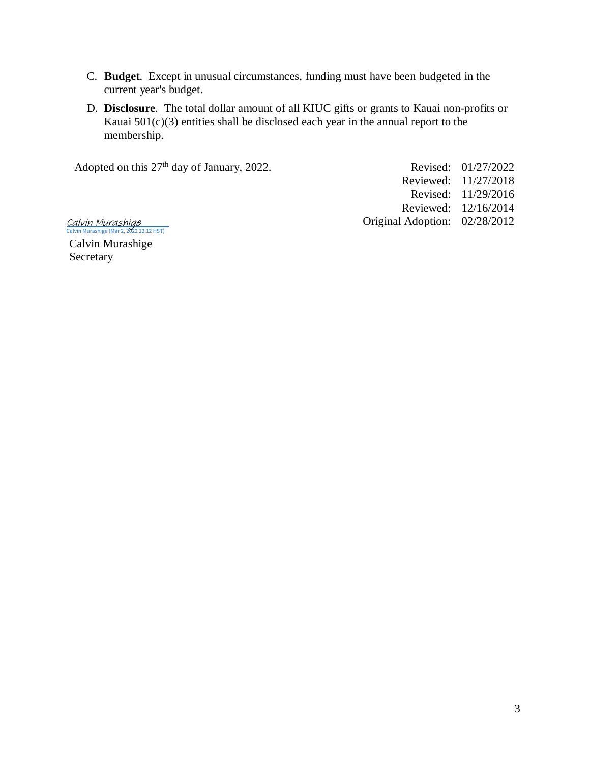- C. **Budget**. Except in unusual circumstances, funding must have been budgeted in the current year's budget.
- D. **Disclosure**. The total dollar amount of all KIUC gifts or grants to Kauai non-profits or Kauai  $501(c)(3)$  entities shall be disclosed each year in the annual report to the membership.

Adopted on this  $27<sup>th</sup>$  day of January, 2022. Revised: 01/27/2022

Reviewed: 11/27/2018 Revised: 11/29/2016 Reviewed: 12/16/2014 Original Adoption: 02/28/2012

[Calvin Murashige](https://na2.documents.adobe.com/verifier?tx=CBJCHBCAABAAolGv9ScCuuZPSrqFVX11Sh3ywP-mJue0)<br><sup>Calvin Murashige (Mar 2, 2022 12:12 HST)</sup>

Calvin Murashige Secretary